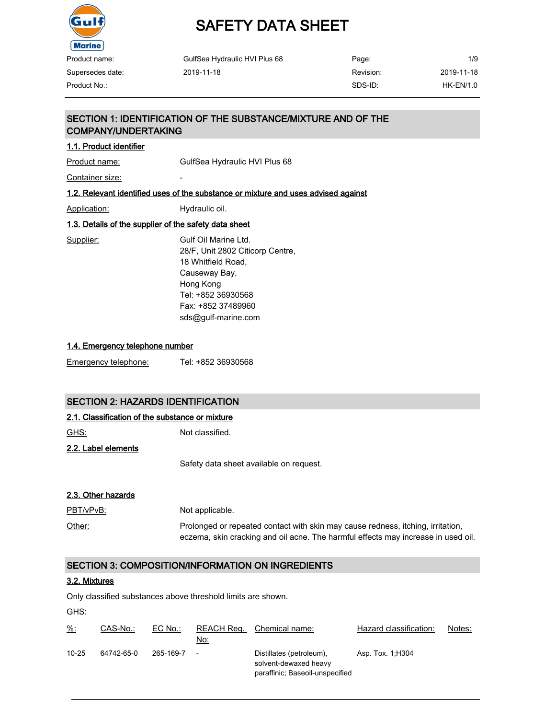

# SAFETY DATA SHEET

| Product name:    | GulfSea Hydraulic HVI Plus 68 | Page:     | 1/9              |
|------------------|-------------------------------|-----------|------------------|
| Supersedes date: | 2019-11-18                    | Revision: | 2019-11-18       |
| Product No.:     |                               | SDS-ID:   | <b>HK-EN/1.0</b> |

#### SECTION 1: IDENTIFICATION OF THE SUBSTANCE/MIXTURE AND OF THE COMPANY/UNDERTAKING

#### 1.1. Product identifier

Product name: GulfSea Hydraulic HVI Plus 68

Container size: The container size:

#### 1.2. Relevant identified uses of the substance or mixture and uses advised against

Application: Hydraulic oil.

#### 1.3. Details of the supplier of the safety data sheet

Supplier: Gulf Oil Marine Ltd. 28/F, Unit 2802 Citicorp Centre, 18 Whitfield Road, Causeway Bay, Hong Kong Tel: +852 36930568 Fax: +852 37489960 sds@gulf-marine.com

#### 1.4. Emergency telephone number

#### SECTION 2: HAZARDS IDENTIFICATION

#### 2.1. Classification of the substance or mixture

GHS: Not classified.

2.2. Label elements

Safety data sheet available on request.

#### 2.3. Other hazards

| PBT/vPvB: | Not applicable.                                                                   |
|-----------|-----------------------------------------------------------------------------------|
| Other:    | Prolonged or repeated contact with skin may cause redness, itching, irritation,   |
|           | eczema, skin cracking and oil acne. The harmful effects may increase in used oil. |

#### SECTION 3: COMPOSITION/INFORMATION ON INGREDIENTS

#### 3.2. Mixtures

Only classified substances above threshold limits are shown.

GHS:

| $\frac{9}{6}$ : | CAS-No.:   | $EC$ No.: | REACH Rea.<br>No: | Chemical name:                                                                       | Hazard classification: | Notes: |
|-----------------|------------|-----------|-------------------|--------------------------------------------------------------------------------------|------------------------|--------|
| $10 - 25$       | 64742-65-0 | 265-169-7 |                   | Distillates (petroleum),<br>solvent-dewaxed heavy<br>paraffinic; Baseoil-unspecified | Asp. Tox. 1, H304      |        |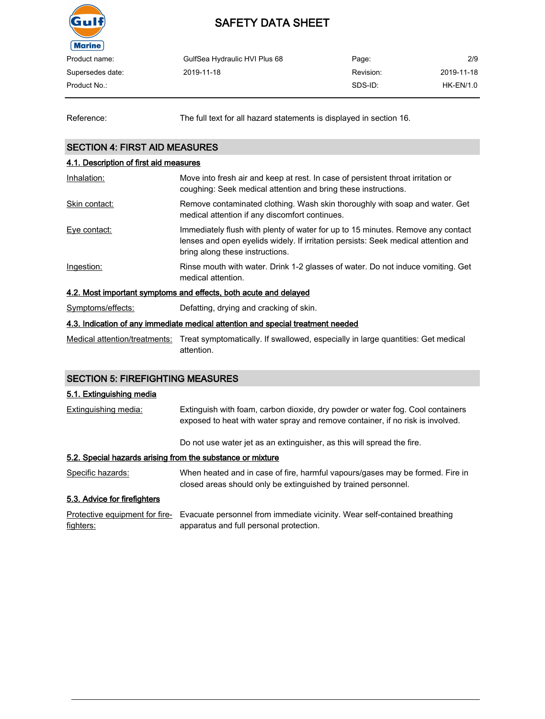

| Product name:    | GulfSea Hydraulic HVI Plus 68 | Page:     | 2/9        |
|------------------|-------------------------------|-----------|------------|
| Supersedes date: | 2019-11-18                    | Revision: | 2019-11-18 |
| Product No.: .   |                               | SDS-ID:   | HK-EN/1.0  |
|                  |                               |           |            |

Reference: The full text for all hazard statements is displayed in section 16.

#### SECTION 4: FIRST AID MEASURES

### 4.1. Description of first aid measures Inhalation: Move into fresh air and keep at rest. In case of persistent throat irritation or coughing: Seek medical attention and bring these instructions. Skin contact: Remove contaminated clothing. Wash skin thoroughly with soap and water. Get medical attention if any discomfort continues. Eye contact: Immediately flush with plenty of water for up to 15 minutes. Remove any contact lenses and open eyelids widely. If irritation persists: Seek medical attention and bring along these instructions. Ingestion: Rinse mouth with water. Drink 1-2 glasses of water. Do not induce vomiting. Get medical attention. 4.2. Most important symptoms and effects, both acute and delayed Symptoms/effects: Defatting, drying and cracking of skin. 4.3. Indication of any immediate medical attention and special treatment needed

Medical attention/treatments: Treat symptomatically. If swallowed, especially in large quantities: Get medical attention.

#### SECTION 5: FIREFIGHTING MEASURES

#### 5.1. Extinguishing media

| Extinguishing media:                                       | Extinguish with foam, carbon dioxide, dry powder or water fog. Cool containers<br>exposed to heat with water spray and remove container, if no risk is involved. |
|------------------------------------------------------------|------------------------------------------------------------------------------------------------------------------------------------------------------------------|
|                                                            | Do not use water jet as an extinguisher, as this will spread the fire.                                                                                           |
| 5.2. Special hazards arising from the substance or mixture |                                                                                                                                                                  |
| Specific hazards:                                          | When heated and in case of fire, harmful vapours/gases may be formed. Fire in<br>closed areas should only be extinguished by trained personnel.                  |
| 5.3. Advice for firefighters                               |                                                                                                                                                                  |

Protective equipment for fire- Evacuate personnel from immediate vicinity. Wear self-contained breathing fighters: apparatus and full personal protection.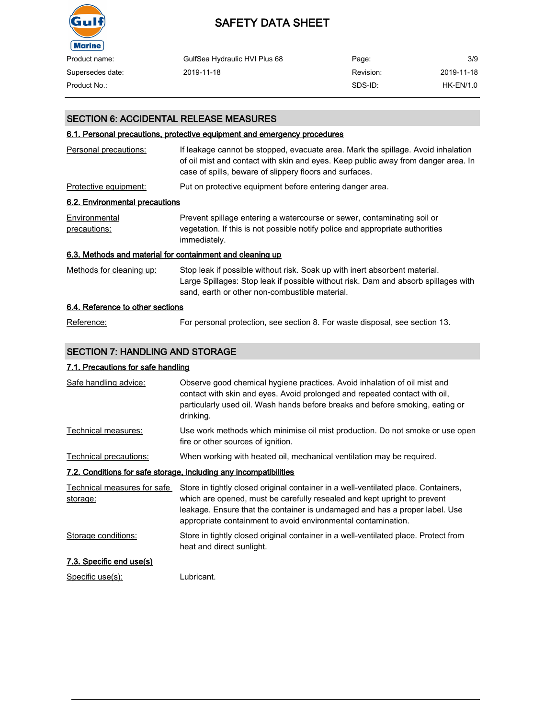

| Product name:    | GulfSea Hydraulic HVI Plus 68 | Page:     | 3/9         |
|------------------|-------------------------------|-----------|-------------|
| Supersedes date: | 2019-11-18                    | Revision: | 2019-11-18  |
| Product No.:     |                               | SDS-ID:   | $HK-EN/1.0$ |

#### SECTION 6: ACCIDENTAL RELEASE MEASURES

#### 6.1. Personal precautions, protective equipment and emergency procedures

| Personal precautions:                                     | If leakage cannot be stopped, evacuate area. Mark the spillage. Avoid inhalation<br>of oil mist and contact with skin and eyes. Keep public away from danger area. In<br>case of spills, beware of slippery floors and surfaces. |
|-----------------------------------------------------------|----------------------------------------------------------------------------------------------------------------------------------------------------------------------------------------------------------------------------------|
| Protective equipment:                                     | Put on protective equipment before entering danger area.                                                                                                                                                                         |
| 6.2. Environmental precautions                            |                                                                                                                                                                                                                                  |
| Environmental<br>precautions:                             | Prevent spillage entering a watercourse or sewer, contaminating soil or<br>vegetation. If this is not possible notify police and appropriate authorities<br>immediately.                                                         |
| 6.3. Methods and material for containment and cleaning up |                                                                                                                                                                                                                                  |
| Methods for cleaning up:                                  | Stop leak if possible without risk. Soak up with inert absorbent material.<br>Large Spillages: Stop leak if possible without risk. Dam and absorb spillages with<br>sand, earth or other non-combustible material.               |
| 6.4. Reference to other sections                          |                                                                                                                                                                                                                                  |

# Reference: For personal protection, see section 8. For waste disposal, see section 13.

#### SECTION 7: HANDLING AND STORAGE

#### 7.1. Precautions for safe handling

| Safe handling advice:                   | Observe good chemical hygiene practices. Avoid inhalation of oil mist and<br>contact with skin and eyes. Avoid prolonged and repeated contact with oil,<br>particularly used oil. Wash hands before breaks and before smoking, eating or<br>drinking.                                                          |
|-----------------------------------------|----------------------------------------------------------------------------------------------------------------------------------------------------------------------------------------------------------------------------------------------------------------------------------------------------------------|
| Technical measures:                     | Use work methods which minimise oil mist production. Do not smoke or use open<br>fire or other sources of ignition.                                                                                                                                                                                            |
| Technical precautions:                  | When working with heated oil, mechanical ventilation may be required.                                                                                                                                                                                                                                          |
|                                         | 7.2. Conditions for safe storage, including any incompatibilities                                                                                                                                                                                                                                              |
| Technical measures for safe<br>storage: | Store in tightly closed original container in a well-ventilated place. Containers,<br>which are opened, must be carefully resealed and kept upright to prevent<br>leakage. Ensure that the container is undamaged and has a proper label. Use<br>appropriate containment to avoid environmental contamination. |
| Storage conditions:                     | Store in tightly closed original container in a well-ventilated place. Protect from<br>heat and direct sunlight.                                                                                                                                                                                               |
| 7.3. Specific end use(s)                |                                                                                                                                                                                                                                                                                                                |
| Specific use(s):                        | Lubricant.                                                                                                                                                                                                                                                                                                     |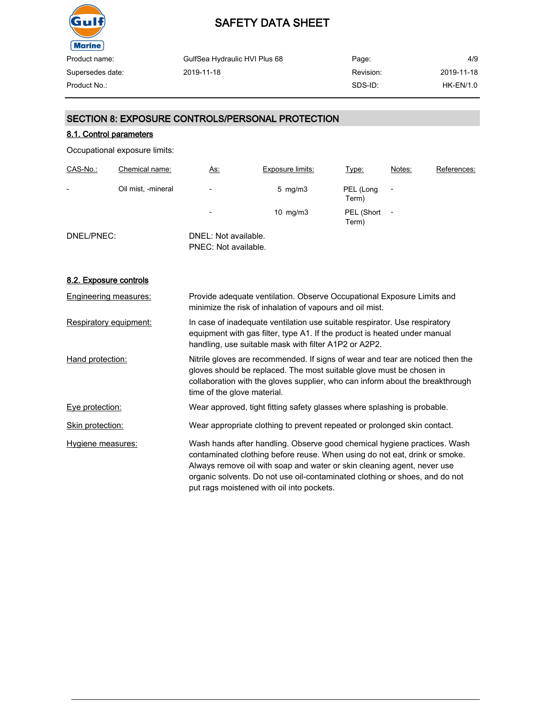

| GulfSea Hydraulic HVI Plus 68 | Page:     | 4/9              |
|-------------------------------|-----------|------------------|
| 2019-11-18                    | Revision: | 2019-11-18       |
|                               | SDS-ID:   | <b>HK-EN/1.0</b> |
|                               |           |                  |

#### SECTION 8: EXPOSURE CONTROLS/PERSONAL PROTECTION

#### 8.1. Control parameters

Occupational exposure limits:

| CAS-No.:   | Chemical name:     | <u>As:</u>                                   | <b>Exposure limits:</b> | Type:               | Notes: | References: |
|------------|--------------------|----------------------------------------------|-------------------------|---------------------|--------|-------------|
| -          | Oil mist, -mineral | -                                            | $5 \,$ mg/m $3 \,$      | PEL (Long<br>Term)  |        |             |
|            |                    | $\overline{\phantom{0}}$                     | $10 \text{ mg/m}$       | PEL (Short<br>Term) |        |             |
| DNEL/PNEC: |                    | DNEL: Not available.<br>PNEC: Not available. |                         |                     |        |             |

#### 8.2. Exposure controls

| Engineering measures:  | Provide adequate ventilation. Observe Occupational Exposure Limits and<br>minimize the risk of inhalation of vapours and oil mist.                                                                                                                                                                                                                            |
|------------------------|---------------------------------------------------------------------------------------------------------------------------------------------------------------------------------------------------------------------------------------------------------------------------------------------------------------------------------------------------------------|
| Respiratory equipment: | In case of inadequate ventilation use suitable respirator. Use respiratory<br>equipment with gas filter, type A1. If the product is heated under manual<br>handling, use suitable mask with filter A1P2 or A2P2.                                                                                                                                              |
| Hand protection:       | Nitrile gloves are recommended. If signs of wear and tear are noticed then the<br>gloves should be replaced. The most suitable glove must be chosen in<br>collaboration with the gloves supplier, who can inform about the breakthrough<br>time of the glove material.                                                                                        |
| Eye protection:        | Wear approved, tight fitting safety glasses where splashing is probable.                                                                                                                                                                                                                                                                                      |
| Skin protection:       | Wear appropriate clothing to prevent repeated or prolonged skin contact.                                                                                                                                                                                                                                                                                      |
| Hygiene measures:      | Wash hands after handling. Observe good chemical hygiene practices. Wash<br>contaminated clothing before reuse. When using do not eat, drink or smoke.<br>Always remove oil with soap and water or skin cleaning agent, never use<br>organic solvents. Do not use oil-contaminated clothing or shoes, and do not<br>put rags moistened with oil into pockets. |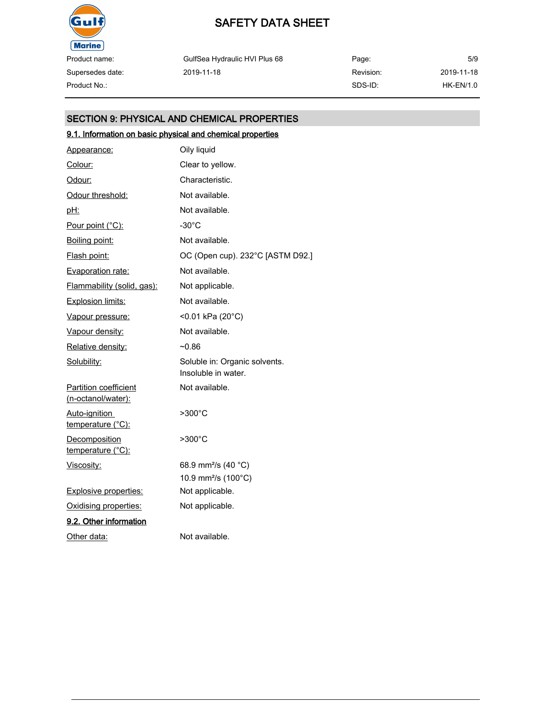

Supersedes date:

# SAFETY DATA SHEET

GulfSea Hydraulic HVI Plus 68 2019-11-18

Page: Revision: SDS-ID: 5/9 2019-11-18 Product No.: HK-EN/1.0

#### SECTION 9: PHYSICAL AND CHEMICAL PROPERTIES

#### 9.1. Information on basic physical and chemical properties

| Appearance:                                        | Oily liquid                                          |
|----------------------------------------------------|------------------------------------------------------|
| Colour:                                            | Clear to yellow.                                     |
| Odour:                                             | Characteristic.                                      |
| Odour threshold:                                   | Not available.                                       |
| <u>pH:</u>                                         | Not available.                                       |
| Pour point (°C):                                   | -30°C                                                |
| Boiling point:                                     | Not available.                                       |
| Flash point:                                       | OC (Open cup). 232°C [ASTM D92.]                     |
| Evaporation rate:                                  | Not available.                                       |
| Flammability (solid, gas):                         | Not applicable.                                      |
| <b>Explosion limits:</b>                           | Not available.                                       |
| Vapour pressure:                                   | <0.01 kPa (20°C)                                     |
| Vapour density:                                    | Not available.                                       |
| Relative density:                                  | $-0.86$                                              |
| Solubility:                                        | Soluble in: Organic solvents.<br>Insoluble in water. |
| <b>Partition coefficient</b><br>(n-octanol/water): | Not available.                                       |
| Auto-ignition<br>temperature (°C):                 | $>300^{\circ}$ C                                     |
| <b>Decomposition</b><br>temperature (°C):          | >300°C                                               |
| Viscosity:                                         | 68.9 mm <sup>2</sup> /s (40 °C)                      |
|                                                    | 10.9 mm <sup>2</sup> /s (100°C)                      |
| <b>Explosive properties:</b>                       | Not applicable.                                      |
| Oxidising properties:                              | Not applicable.                                      |
| 9.2. Other information                             |                                                      |
| Other data:                                        | Not available.                                       |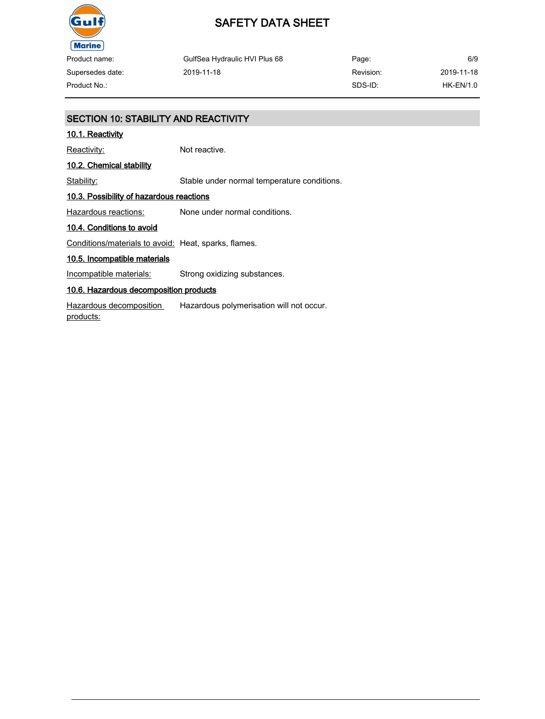

### SAFETY DATA SHEET

| Product name:    | GulfSea Hydraulic HVI Plus 68 | Page:     | 6/9        |
|------------------|-------------------------------|-----------|------------|
| Supersedes date: | 2019-11-18                    | Revision: | 2019-11-18 |
| Product No.:     |                               | SDS-ID:   | HK-EN/1.0  |

### SECTION 10: STABILITY AND REACTIVITY 10.1. Reactivity Reactivity: Not reactive. 10.2. Chemical stability Stability: Stable under normal temperature conditions. 10.3. Possibility of hazardous reactions Hazardous reactions: None under normal conditions. 10.4. Conditions to avoid Conditions/materials to avoid: Heat, sparks, flames. 10.5. Incompatible materials Incompatible materials: Strong oxidizing substances. 10.6. Hazardous decomposition products Hazardous decomposition products: Hazardous polymerisation will not occur.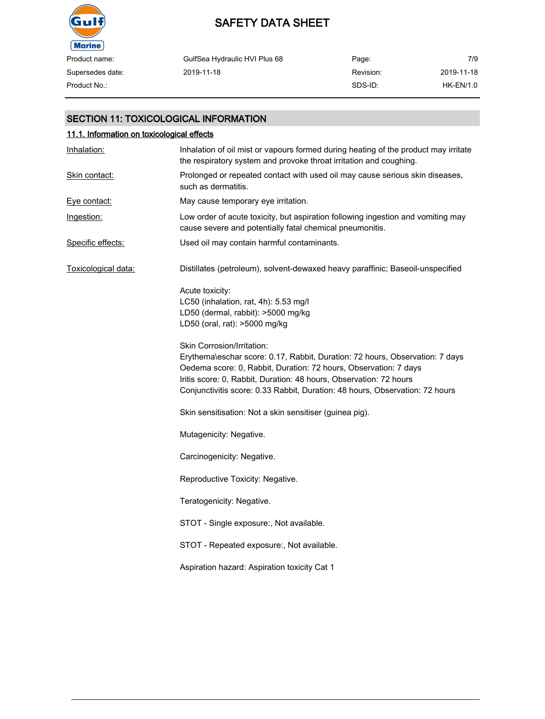

| Product name:    | GulfSea Hydraulic HVI Plus 68 | Page:     | 7/9        |
|------------------|-------------------------------|-----------|------------|
| Supersedes date: | 2019-11-18                    | Revision: | 2019-11-18 |
| Product No.:     |                               | SDS-ID:   | HK-EN/1.0  |

#### SECTION 11: TOXICOLOGICAL INFORMATION

| 11.1. Information on toxicological effects |                                                                                                                                                                                                                                                                                                                                      |  |
|--------------------------------------------|--------------------------------------------------------------------------------------------------------------------------------------------------------------------------------------------------------------------------------------------------------------------------------------------------------------------------------------|--|
| Inhalation:                                | Inhalation of oil mist or vapours formed during heating of the product may irritate<br>the respiratory system and provoke throat irritation and coughing.                                                                                                                                                                            |  |
| Skin contact:                              | Prolonged or repeated contact with used oil may cause serious skin diseases,<br>such as dermatitis.                                                                                                                                                                                                                                  |  |
| Eve contact:                               | May cause temporary eye irritation.                                                                                                                                                                                                                                                                                                  |  |
| Ingestion:                                 | Low order of acute toxicity, but aspiration following ingestion and vomiting may<br>cause severe and potentially fatal chemical pneumonitis.                                                                                                                                                                                         |  |
| Specific effects:                          | Used oil may contain harmful contaminants.                                                                                                                                                                                                                                                                                           |  |
| Toxicological data:                        | Distillates (petroleum), solvent-dewaxed heavy paraffinic; Baseoil-unspecified                                                                                                                                                                                                                                                       |  |
|                                            | Acute toxicity:<br>LC50 (inhalation, rat, 4h): 5.53 mg/l<br>LD50 (dermal, rabbit): >5000 mg/kg<br>LD50 (oral, rat): >5000 mg/kg                                                                                                                                                                                                      |  |
|                                            | Skin Corrosion/Irritation:<br>Erythema\eschar score: 0.17, Rabbit, Duration: 72 hours, Observation: 7 days<br>Oedema score: 0, Rabbit, Duration: 72 hours, Observation: 7 days<br>Iritis score: 0, Rabbit, Duration: 48 hours, Observation: 72 hours<br>Conjunctivitis score: 0.33 Rabbit, Duration: 48 hours, Observation: 72 hours |  |
|                                            | Skin sensitisation: Not a skin sensitiser (guinea pig).                                                                                                                                                                                                                                                                              |  |
|                                            | Mutagenicity: Negative.                                                                                                                                                                                                                                                                                                              |  |
|                                            | Carcinogenicity: Negative.                                                                                                                                                                                                                                                                                                           |  |
|                                            | Reproductive Toxicity: Negative.                                                                                                                                                                                                                                                                                                     |  |
|                                            | Teratogenicity: Negative.                                                                                                                                                                                                                                                                                                            |  |
|                                            | STOT - Single exposure:, Not available.                                                                                                                                                                                                                                                                                              |  |
|                                            | STOT - Repeated exposure:, Not available.                                                                                                                                                                                                                                                                                            |  |
|                                            | Aspiration hazard: Aspiration toxicity Cat 1                                                                                                                                                                                                                                                                                         |  |
|                                            |                                                                                                                                                                                                                                                                                                                                      |  |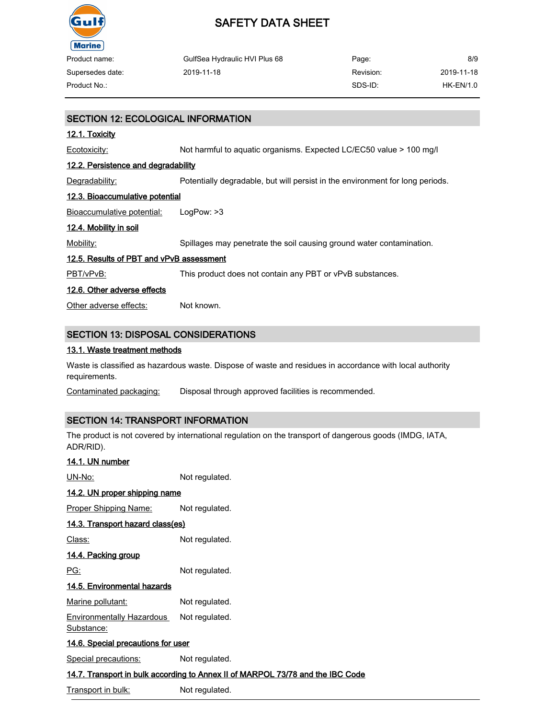

| Product name:    | GulfSea Hydraulic HVI Plus 68 | Page:     | 8/9        |
|------------------|-------------------------------|-----------|------------|
| Supersedes date: | 2019-11-18                    | Revision: | 2019-11-18 |
| Product No.:     |                               | SDS-ID:   | HK-EN/1.0  |

# SECTION 12: ECOLOGICAL INFORMATION 12.1. Toxicity Ecotoxicity: Not harmful to aquatic organisms. Expected LC/EC50 value > 100 mg/l 12.2. Persistence and degradability Degradability: Potentially degradable, but will persist in the environment for long periods. 12.3. Bioaccumulative potential Bioaccumulative potential: LogPow: >3 12.4. Mobility in soil Mobility: Spillages may penetrate the soil causing ground water contamination. 12.5. Results of PBT and vPvB assessment PBT/vPvB: This product does not contain any PBT or vPvB substances. 12.6. Other adverse effects Other adverse effects: Not known. SECTION 13: DISPOSAL CONSIDERATIONS 13.1. Waste treatment methods

Waste is classified as hazardous waste. Dispose of waste and residues in accordance with local authority requirements.

Contaminated packaging: Disposal through approved facilities is recommended.

#### SECTION 14: TRANSPORT INFORMATION

The product is not covered by international regulation on the transport of dangerous goods (IMDG, IATA, ADR/RID).

| 14.1. UN number                           |                                                                                |  |
|-------------------------------------------|--------------------------------------------------------------------------------|--|
| UN-No:                                    | Not regulated.                                                                 |  |
| 14.2. UN proper shipping name             |                                                                                |  |
| <u> Proper Shipping Name:</u>             | Not regulated.                                                                 |  |
| <u>14.3. Transport hazard class(es)</u>   |                                                                                |  |
| Class:                                    | Not regulated.                                                                 |  |
| <u>14.4. Packing group</u>                |                                                                                |  |
| PG:                                       | Not regulated.                                                                 |  |
| 14.5. Environmental hazards               |                                                                                |  |
| Marine pollutant:                         | Not regulated.                                                                 |  |
| Environmentally Hazardous<br>Substance:   | Not regulated.                                                                 |  |
| <u>14.6. Special precautions for user</u> |                                                                                |  |
| <b>Special precautions:</b>               | Not regulated.                                                                 |  |
|                                           | 14.7. Transport in bulk according to Annex II of MARPOL 73/78 and the IBC Code |  |

Transport in bulk: Not regulated.